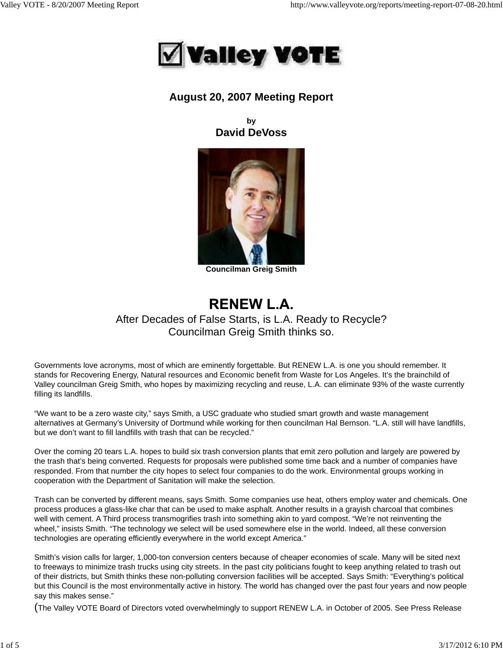

## **August 20, 2007 Meeting Report**

**by David DeVoss**



**Councilman Greig Smith**

# **RENEW L.A.**

## After Decades of False Starts, is L.A. Ready to Recycle? Councilman Greig Smith thinks so.

Governments love acronyms, most of which are eminently forgettable. But RENEW L.A. is one you should remember. It stands for Recovering Energy, Natural resources and Economic benefit from Waste for Los Angeles. It's the brainchild of Valley councilman Greig Smith, who hopes by maximizing recycling and reuse, L.A. can eliminate 93% of the waste currently filling its landfills.

"We want to be a zero waste city," says Smith, a USC graduate who studied smart growth and waste management alternatives at Germany's University of Dortmund while working for then councilman Hal Bernson. "L.A. still will have landfills, but we don't want to fill landfills with trash that can be recycled."

Over the coming 20 tears L.A. hopes to build six trash conversion plants that emit zero pollution and largely are powered by the trash that's being converted. Requests for proposals were published some time back and a number of companies have responded. From that number the city hopes to select four companies to do the work. Environmental groups working in cooperation with the Department of Sanitation will make the selection.

Trash can be converted by different means, says Smith. Some companies use heat, others employ water and chemicals. One process produces a glass-like char that can be used to make asphalt. Another results in a grayish charcoal that combines well with cement. A Third process transmogrifies trash into something akin to yard compost. "We're not reinventing the wheel," insists Smith. "The technology we select will be used somewhere else in the world. Indeed, all these conversion technologies are operating efficiently everywhere in the world except America."

Smith's vision calls for larger, 1,000-ton conversion centers because of cheaper economies of scale. Many will be sited next to freeways to minimize trash trucks using city streets. In the past city politicians fought to keep anything related to trash out of their districts, but Smith thinks these non-polluting conversion facilities will be accepted. Says Smith: "Everything's political but this Council is the most environmentally active in history. The world has changed over the past four years and now people say this makes sense."

(The Valley VOTE Board of Directors voted overwhelmingly to support RENEW L.A. in October of 2005. See Press Release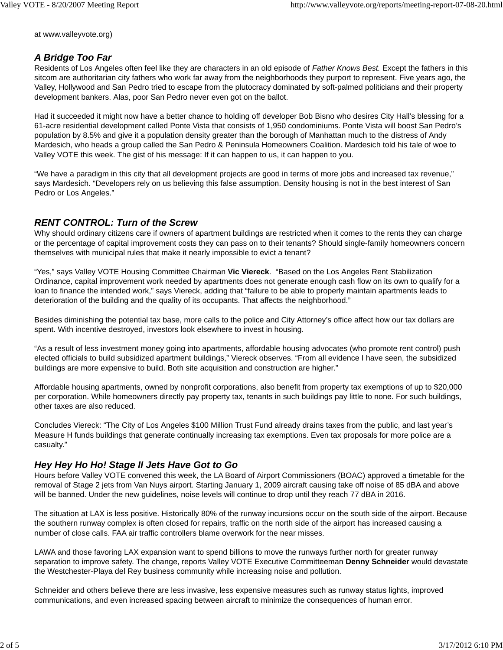at www.valleyvote.org)

#### *A Bridge Too Far*

Residents of Los Angeles often feel like they are characters in an old episode of *Father Knows Best.* Except the fathers in this sitcom are authoritarian city fathers who work far away from the neighborhoods they purport to represent. Five years ago, the Valley, Hollywood and San Pedro tried to escape from the plutocracy dominated by soft-palmed politicians and their property development bankers. Alas, poor San Pedro never even got on the ballot.

Had it succeeded it might now have a better chance to holding off developer Bob Bisno who desires City Hall's blessing for a 61-acre residential development called Ponte Vista that consists of 1,950 condominiums. Ponte Vista will boost San Pedro's population by 8.5% and give it a population density greater than the borough of Manhattan much to the distress of Andy Mardesich, who heads a group called the San Pedro & Peninsula Homeowners Coalition. Mardesich told his tale of woe to Valley VOTE this week. The gist of his message: If it can happen to us, it can happen to you.

"We have a paradigm in this city that all development projects are good in terms of more jobs and increased tax revenue," says Mardesich. "Developers rely on us believing this false assumption. Density housing is not in the best interest of San Pedro or Los Angeles."

#### *RENT CONTROL: Turn of the Screw*

Why should ordinary citizens care if owners of apartment buildings are restricted when it comes to the rents they can charge or the percentage of capital improvement costs they can pass on to their tenants? Should single-family homeowners concern themselves with municipal rules that make it nearly impossible to evict a tenant?

"Yes," says Valley VOTE Housing Committee Chairman **Vic Viereck**. "Based on the Los Angeles Rent Stabilization Ordinance, capital improvement work needed by apartments does not generate enough cash flow on its own to qualify for a loan to finance the intended work," says Viereck, adding that "failure to be able to properly maintain apartments leads to deterioration of the building and the quality of its occupants. That affects the neighborhood."

Besides diminishing the potential tax base, more calls to the police and City Attorney's office affect how our tax dollars are spent. With incentive destroyed, investors look elsewhere to invest in housing.

"As a result of less investment money going into apartments, affordable housing advocates (who promote rent control) push elected officials to build subsidized apartment buildings," Viereck observes. "From all evidence I have seen, the subsidized buildings are more expensive to build. Both site acquisition and construction are higher."

Affordable housing apartments, owned by nonprofit corporations, also benefit from property tax exemptions of up to \$20,000 per corporation. While homeowners directly pay property tax, tenants in such buildings pay little to none. For such buildings, other taxes are also reduced.

Concludes Viereck: "The City of Los Angeles \$100 Million Trust Fund already drains taxes from the public, and last year's Measure H funds buildings that generate continually increasing tax exemptions. Even tax proposals for more police are a casualty."

#### *Hey Hey Ho Ho! Stage II Jets Have Got to Go*

Hours before Valley VOTE convened this week, the LA Board of Airport Commissioners (BOAC) approved a timetable for the removal of Stage 2 jets from Van Nuys airport. Starting January 1, 2009 aircraft causing take off noise of 85 dBA and above will be banned. Under the new guidelines, noise levels will continue to drop until they reach 77 dBA in 2016.

The situation at LAX is less positive. Historically 80% of the runway incursions occur on the south side of the airport. Because the southern runway complex is often closed for repairs, traffic on the north side of the airport has increased causing a number of close calls. FAA air traffic controllers blame overwork for the near misses.

LAWA and those favoring LAX expansion want to spend billions to move the runways further north for greater runway separation to improve safety. The change, reports Valley VOTE Executive Committeeman **Denny Schneider** would devastate the Westchester-Playa del Rey business community while increasing noise and pollution.

Schneider and others believe there are less invasive, less expensive measures such as runway status lights, improved communications, and even increased spacing between aircraft to minimize the consequences of human error.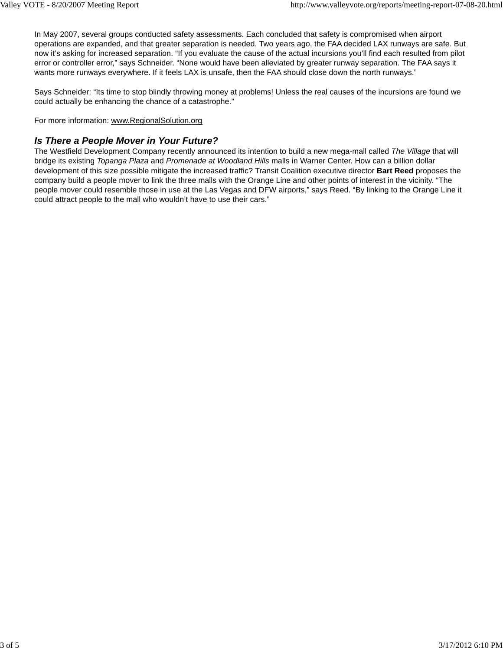In May 2007, several groups conducted safety assessments. Each concluded that safety is compromised when airport operations are expanded, and that greater separation is needed. Two years ago, the FAA decided LAX runways are safe. But now it's asking for increased separation. "If you evaluate the cause of the actual incursions you'll find each resulted from pilot error or controller error," says Schneider. "None would have been alleviated by greater runway separation. The FAA says it wants more runways everywhere. If it feels LAX is unsafe, then the FAA should close down the north runways."

Says Schneider: "Its time to stop blindly throwing money at problems! Unless the real causes of the incursions are found we could actually be enhancing the chance of a catastrophe."

For more information: www.RegionalSolution.org

#### *Is There a People Mover in Your Future?*

The Westfield Development Company recently announced its intention to build a new mega-mall called *The Village* that will bridge its existing *Topanga Plaza* and *Promenade at Woodland Hills* malls in Warner Center. How can a billion dollar development of this size possible mitigate the increased traffic? Transit Coalition executive director **Bart Reed** proposes the company build a people mover to link the three malls with the Orange Line and other points of interest in the vicinity. "The people mover could resemble those in use at the Las Vegas and DFW airports," says Reed. "By linking to the Orange Line it could attract people to the mall who wouldn't have to use their cars."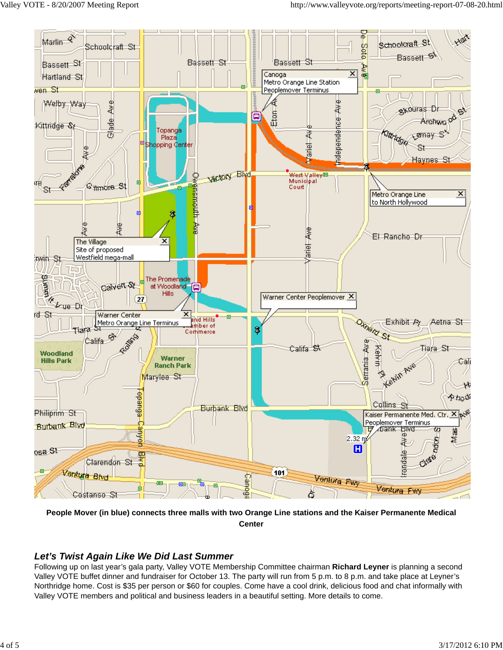

**People Mover (in blue) connects three malls with two Orange Line stations and the Kaiser Permanente Medical Center**

### *Let's Twist Again Like We Did Last Summer*

Following up on last year's gala party, Valley VOTE Membership Committee chairman **Richard Leyner** is planning a second Valley VOTE buffet dinner and fundraiser for October 13. The party will run from 5 p.m. to 8 p.m. and take place at Leyner's Northridge home. Cost is \$35 per person or \$60 for couples. Come have a cool drink, delicious food and chat informally with Valley VOTE members and political and business leaders in a beautiful setting. More details to come.